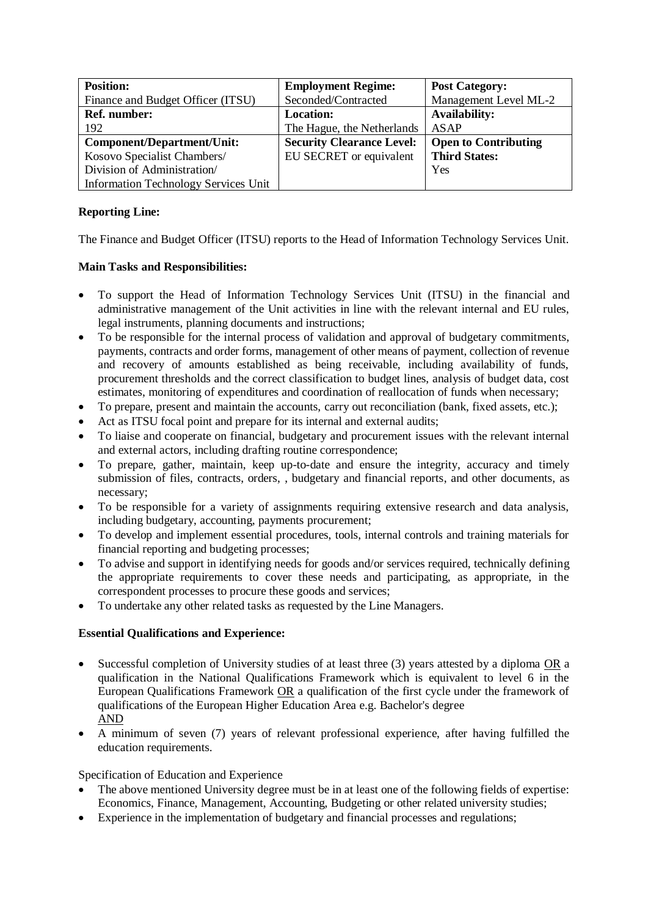| <b>Position:</b>                            | <b>Employment Regime:</b>        | <b>Post Category:</b>       |
|---------------------------------------------|----------------------------------|-----------------------------|
| Finance and Budget Officer (ITSU)           | Seconded/Contracted              | Management Level ML-2       |
| <b>Ref. number:</b>                         | <b>Location:</b>                 | <b>Availability:</b>        |
| 192                                         | The Hague, the Netherlands       | ASAP                        |
| <b>Component/Department/Unit:</b>           | <b>Security Clearance Level:</b> | <b>Open to Contributing</b> |
| Kosovo Specialist Chambers/                 | EU SECRET or equivalent          | <b>Third States:</b>        |
| Division of Administration/                 |                                  | Yes                         |
| <b>Information Technology Services Unit</b> |                                  |                             |

# **Reporting Line:**

The Finance and Budget Officer (ITSU) reports to the Head of Information Technology Services Unit.

## **Main Tasks and Responsibilities:**

- To support the Head of Information Technology Services Unit (ITSU) in the financial and administrative management of the Unit activities in line with the relevant internal and EU rules, legal instruments, planning documents and instructions;
- To be responsible for the internal process of validation and approval of budgetary commitments, payments, contracts and order forms, management of other means of payment, collection of revenue and recovery of amounts established as being receivable, including availability of funds, procurement thresholds and the correct classification to budget lines, analysis of budget data, cost estimates, monitoring of expenditures and coordination of reallocation of funds when necessary;
- To prepare, present and maintain the accounts, carry out reconciliation (bank, fixed assets, etc.);
- Act as ITSU focal point and prepare for its internal and external audits;
- To liaise and cooperate on financial, budgetary and procurement issues with the relevant internal and external actors, including drafting routine correspondence;
- To prepare, gather, maintain, keep up-to-date and ensure the integrity, accuracy and timely submission of files, contracts, orders, , budgetary and financial reports, and other documents, as necessary;
- To be responsible for a variety of assignments requiring extensive research and data analysis, including budgetary, accounting, payments procurement;
- To develop and implement essential procedures, tools, internal controls and training materials for financial reporting and budgeting processes;
- To advise and support in identifying needs for goods and/or services required, technically defining the appropriate requirements to cover these needs and participating, as appropriate, in the correspondent processes to procure these goods and services;
- To undertake any other related tasks as requested by the Line Managers.

## **Essential Qualifications and Experience:**

- Successful completion of University studies of at least three (3) years attested by a diploma OR a qualification in the National Qualifications Framework which is equivalent to level 6 in the European Qualifications Framework OR a qualification of the first cycle under the framework of qualifications of the European Higher Education Area e.g. Bachelor's degree AND
- A minimum of seven (7) years of relevant professional experience, after having fulfilled the education requirements.

## Specification of Education and Experience

- The above mentioned University degree must be in at least one of the following fields of expertise: Economics, Finance, Management, Accounting, Budgeting or other related university studies;
- Experience in the implementation of budgetary and financial processes and regulations;